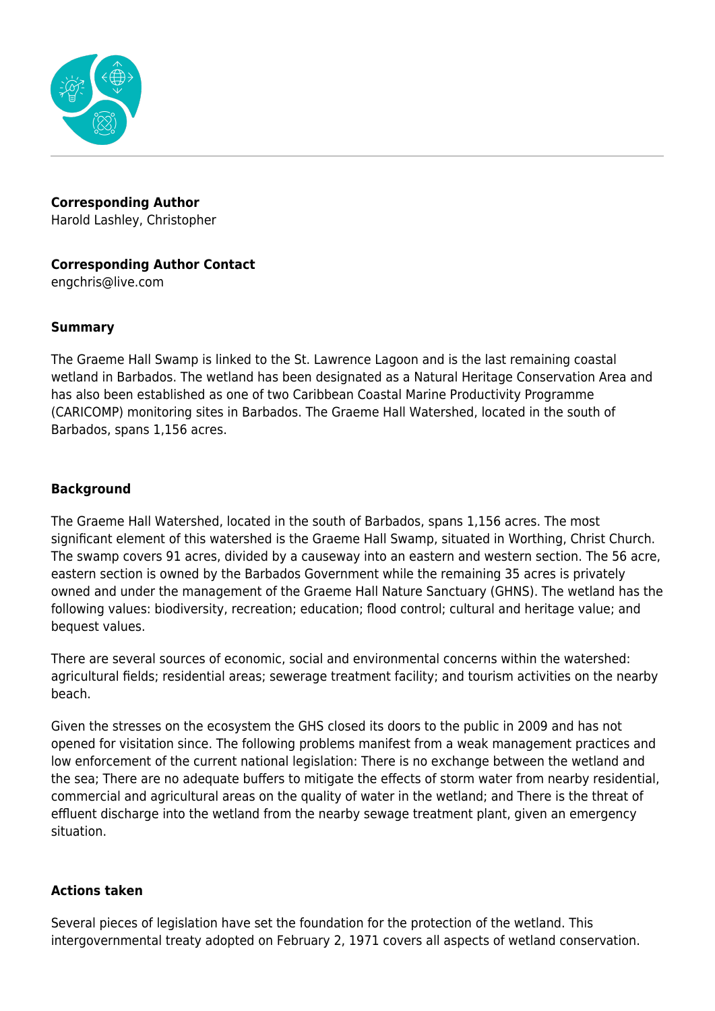

**Corresponding Author** Harold Lashley, Christopher

## **Corresponding Author Contact**

engchris@live.com

## **Summary**

The Graeme Hall Swamp is linked to the St. Lawrence Lagoon and is the last remaining coastal wetland in Barbados. The wetland has been designated as a Natural Heritage Conservation Area and has also been established as one of two Caribbean Coastal Marine Productivity Programme (CARICOMP) monitoring sites in Barbados. The Graeme Hall Watershed, located in the south of Barbados, spans 1,156 acres.

## **Background**

The Graeme Hall Watershed, located in the south of Barbados, spans 1,156 acres. The most significant element of this watershed is the Graeme Hall Swamp, situated in Worthing, Christ Church. The swamp covers 91 acres, divided by a causeway into an eastern and western section. The 56 acre, eastern section is owned by the Barbados Government while the remaining 35 acres is privately owned and under the management of the Graeme Hall Nature Sanctuary (GHNS). The wetland has the following values: biodiversity, recreation; education; flood control; cultural and heritage value; and bequest values.

There are several sources of economic, social and environmental concerns within the watershed: agricultural fields; residential areas; sewerage treatment facility; and tourism activities on the nearby beach.

Given the stresses on the ecosystem the GHS closed its doors to the public in 2009 and has not opened for visitation since. The following problems manifest from a weak management practices and low enforcement of the current national legislation: There is no exchange between the wetland and the sea; There are no adequate buffers to mitigate the effects of storm water from nearby residential, commercial and agricultural areas on the quality of water in the wetland; and There is the threat of effluent discharge into the wetland from the nearby sewage treatment plant, given an emergency situation.

#### **Actions taken**

Several pieces of legislation have set the foundation for the protection of the wetland. This intergovernmental treaty adopted on February 2, 1971 covers all aspects of wetland conservation.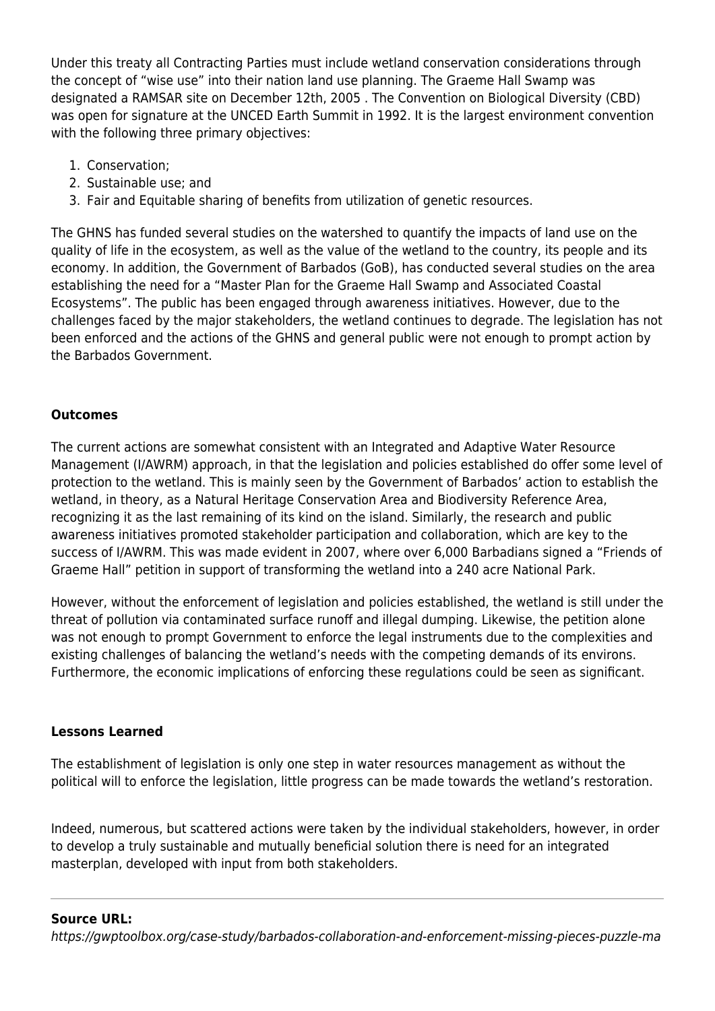Under this treaty all Contracting Parties must include wetland conservation considerations through the concept of "wise use" into their nation land use planning. The Graeme Hall Swamp was designated a RAMSAR site on December 12th, 2005 . The Convention on Biological Diversity (CBD) was open for signature at the UNCED Earth Summit in 1992. It is the largest environment convention with the following three primary objectives:

- 1. Conservation;
- 2. Sustainable use; and
- 3. Fair and Equitable sharing of benefits from utilization of genetic resources.

The GHNS has funded several studies on the watershed to quantify the impacts of land use on the quality of life in the ecosystem, as well as the value of the wetland to the country, its people and its economy. In addition, the Government of Barbados (GoB), has conducted several studies on the area establishing the need for a "Master Plan for the Graeme Hall Swamp and Associated Coastal Ecosystems". The public has been engaged through awareness initiatives. However, due to the challenges faced by the major stakeholders, the wetland continues to degrade. The legislation has not been enforced and the actions of the GHNS and general public were not enough to prompt action by the Barbados Government.

# **Outcomes**

The current actions are somewhat consistent with an Integrated and Adaptive Water Resource Management (I/AWRM) approach, in that the legislation and policies established do offer some level of protection to the wetland. This is mainly seen by the Government of Barbados' action to establish the wetland, in theory, as a Natural Heritage Conservation Area and Biodiversity Reference Area, recognizing it as the last remaining of its kind on the island. Similarly, the research and public awareness initiatives promoted stakeholder participation and collaboration, which are key to the success of I/AWRM. This was made evident in 2007, where over 6,000 Barbadians signed a "Friends of Graeme Hall" petition in support of transforming the wetland into a 240 acre National Park.

However, without the enforcement of legislation and policies established, the wetland is still under the threat of pollution via contaminated surface runoff and illegal dumping. Likewise, the petition alone was not enough to prompt Government to enforce the legal instruments due to the complexities and existing challenges of balancing the wetland's needs with the competing demands of its environs. Furthermore, the economic implications of enforcing these regulations could be seen as significant.

## **Lessons Learned**

The establishment of legislation is only one step in water resources management as without the political will to enforce the legislation, little progress can be made towards the wetland's restoration.

Indeed, numerous, but scattered actions were taken by the individual stakeholders, however, in order to develop a truly sustainable and mutually beneficial solution there is need for an integrated masterplan, developed with input from both stakeholders.